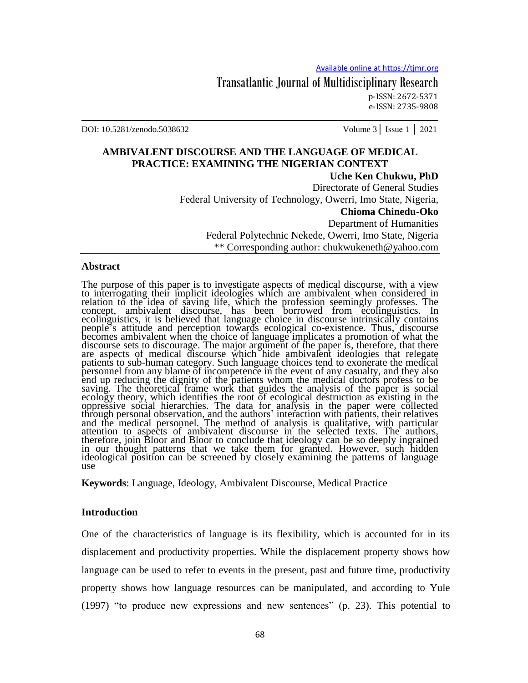Transatlantic Journal of Multidisciplinary Research p-ISSN: 2672-5371 e-ISSN: 2735-9808

DOI: 10.5281/zenodo.5038632 Volume 3│ Issue 1 │ 2021

# **AMBIVALENT DISCOURSE AND THE LANGUAGE OF MEDICAL PRACTICE: EXAMINING THE NIGERIAN CONTEXT**

**Uche Ken Chukwu, PhD** Directorate of General Studies Federal University of Technology, Owerri, Imo State, Nigeria, **Chioma Chinedu-Oko** Department of Humanities Federal Polytechnic Nekede, Owerri, Imo State, Nigeria \*\* Corresponding author: chukwukeneth@yahoo.com

#### **Abstract**

The purpose of this paper is to investigate aspects of medical discourse, with a view to interrogating their implicit ideologies which are ambivalent when considered in relation to the idea of saving life, which the profession seemingly professes. The concept, ambivalent discourse, has been borrowed from ecolinguistics. In ecolinguistics, it is believed that language choice in discourse intrinsically contains people"s attitude and perception towards ecological co-existence. Thus, discourse becomes ambivalent when the choice of language implicates a promotion of what the discourse sets to discourage. The major argument of the paper is, therefore, that there are aspects of medical discourse which hide ambivalent ideologies that relegate patients to sub-human category. Such language choices tend to exonerate the medical personnel from any blame of incompetence in the event of any casualty, and they also end up reducing the dignity of the patients whom the medical doctors profess to be saving. The theoretical frame work that guides the analysis of the paper is social ecology theory, which identifies the root of ecological destruction as existing in the oppressive social hierarchies. The data for analysis in the paper were collected through personal observation, and the authors" interaction with patients, their relatives and the medical personnel. The method of analysis is qualitative, with particular attention to aspects of ambivalent discourse in the selected texts. The authors, therefore, join Bloor and Bloor to conclude that ideology can be so deeply ingrained in our thought patterns that we take them for granted. However, such hidden ideological position can be screened by closely examining the patterns of language use

**Keywords**: Language, Ideology, Ambivalent Discourse, Medical Practice

#### **Introduction**

One of the characteristics of language is its flexibility, which is accounted for in its displacement and productivity properties. While the displacement property shows how language can be used to refer to events in the present, past and future time, productivity property shows how language resources can be manipulated, and according to Yule (1997) "to produce new expressions and new sentences" (p. 23). This potential to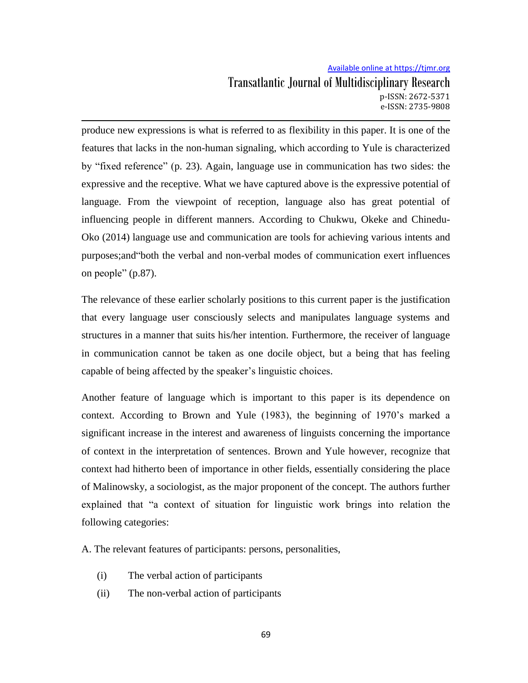produce new expressions is what is referred to as flexibility in this paper. It is one of the features that lacks in the non-human signaling, which according to Yule is characterized by "fixed reference" (p. 23). Again, language use in communication has two sides: the expressive and the receptive. What we have captured above is the expressive potential of language. From the viewpoint of reception, language also has great potential of influencing people in different manners. According to Chukwu, Okeke and Chinedu-Oko (2014) language use and communication are tools for achieving various intents and purposes;and"both the verbal and non-verbal modes of communication exert influences on people" (p.87).

The relevance of these earlier scholarly positions to this current paper is the justification that every language user consciously selects and manipulates language systems and structures in a manner that suits his/her intention. Furthermore, the receiver of language in communication cannot be taken as one docile object, but a being that has feeling capable of being affected by the speaker"s linguistic choices.

Another feature of language which is important to this paper is its dependence on context. According to Brown and Yule (1983), the beginning of 1970"s marked a significant increase in the interest and awareness of linguists concerning the importance of context in the interpretation of sentences. Brown and Yule however, recognize that context had hitherto been of importance in other fields, essentially considering the place of Malinowsky, a sociologist, as the major proponent of the concept. The authors further explained that "a context of situation for linguistic work brings into relation the following categories:

A. The relevant features of participants: persons, personalities,

- (i) The verbal action of participants
- (ii) The non-verbal action of participants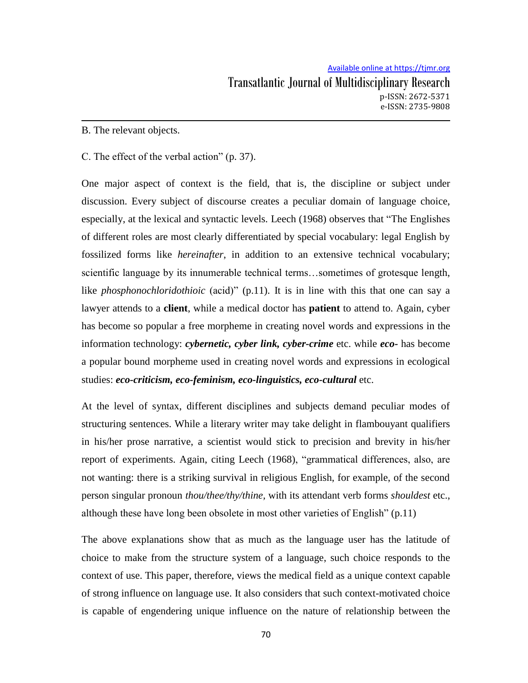### B. The relevant objects.

### C. The effect of the verbal action" (p. 37).

One major aspect of context is the field, that is, the discipline or subject under discussion. Every subject of discourse creates a peculiar domain of language choice, especially, at the lexical and syntactic levels. Leech (1968) observes that "The Englishes of different roles are most clearly differentiated by special vocabulary: legal English by fossilized forms like *hereinafter*, in addition to an extensive technical vocabulary; scientific language by its innumerable technical terms…sometimes of grotesque length, like *phosphonochloridothioic* (acid)" (p.11). It is in line with this that one can say a lawyer attends to a **client**, while a medical doctor has **patient** to attend to. Again, cyber has become so popular a free morpheme in creating novel words and expressions in the information technology: *cybernetic, cyber link, cyber-crime* etc. while *eco-* has become a popular bound morpheme used in creating novel words and expressions in ecological studies: *eco-criticism, eco-feminism, eco-linguistics, eco-cultural* etc.

At the level of syntax, different disciplines and subjects demand peculiar modes of structuring sentences. While a literary writer may take delight in flambouyant qualifiers in his/her prose narrative, a scientist would stick to precision and brevity in his/her report of experiments. Again, citing Leech (1968), "grammatical differences, also, are not wanting: there is a striking survival in religious English, for example, of the second person singular pronoun *thou/thee/thy/thine,* with its attendant verb forms *shouldest* etc., although these have long been obsolete in most other varieties of English" (p.11)

The above explanations show that as much as the language user has the latitude of choice to make from the structure system of a language, such choice responds to the context of use. This paper, therefore, views the medical field as a unique context capable of strong influence on language use. It also considers that such context-motivated choice is capable of engendering unique influence on the nature of relationship between the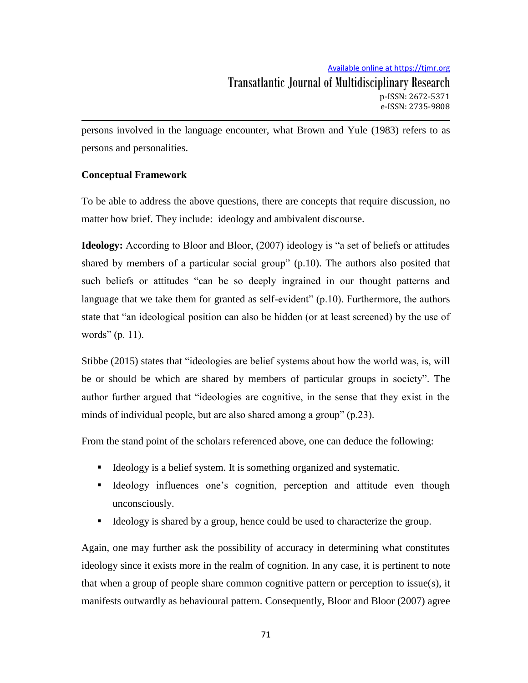persons involved in the language encounter, what Brown and Yule (1983) refers to as persons and personalities.

## **Conceptual Framework**

To be able to address the above questions, there are concepts that require discussion, no matter how brief. They include: ideology and ambivalent discourse.

**Ideology:** According to Bloor and Bloor, (2007) ideology is "a set of beliefs or attitudes shared by members of a particular social group" (p.10). The authors also posited that such beliefs or attitudes "can be so deeply ingrained in our thought patterns and language that we take them for granted as self-evident" (p.10). Furthermore, the authors state that "an ideological position can also be hidden (or at least screened) by the use of words" (p. 11).

Stibbe (2015) states that "ideologies are belief systems about how the world was, is, will be or should be which are shared by members of particular groups in society". The author further argued that "ideologies are cognitive, in the sense that they exist in the minds of individual people, but are also shared among a group" (p.23).

From the stand point of the scholars referenced above, one can deduce the following:

- Ideology is a belief system. It is something organized and systematic.
- Ideology influences one's cognition, perception and attitude even though unconsciously.
- Ideology is shared by a group, hence could be used to characterize the group.

Again, one may further ask the possibility of accuracy in determining what constitutes ideology since it exists more in the realm of cognition. In any case, it is pertinent to note that when a group of people share common cognitive pattern or perception to issue(s), it manifests outwardly as behavioural pattern. Consequently, Bloor and Bloor (2007) agree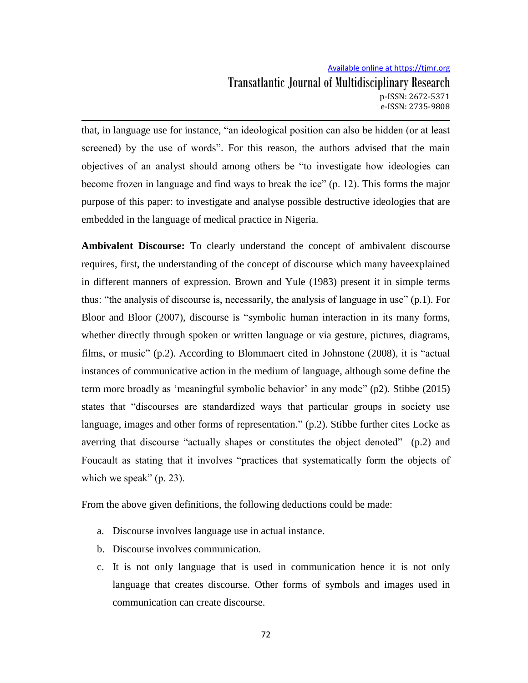that, in language use for instance, "an ideological position can also be hidden (or at least screened) by the use of words". For this reason, the authors advised that the main objectives of an analyst should among others be "to investigate how ideologies can become frozen in language and find ways to break the ice" (p. 12). This forms the major purpose of this paper: to investigate and analyse possible destructive ideologies that are embedded in the language of medical practice in Nigeria.

**Ambivalent Discourse:** To clearly understand the concept of ambivalent discourse requires, first, the understanding of the concept of discourse which many haveexplained in different manners of expression. Brown and Yule (1983) present it in simple terms thus: "the analysis of discourse is, necessarily, the analysis of language in use" (p.1). For Bloor and Bloor (2007), discourse is "symbolic human interaction in its many forms, whether directly through spoken or written language or via gesture, pictures, diagrams, films, or music" (p.2). According to Blommaert cited in Johnstone (2008), it is "actual instances of communicative action in the medium of language, although some define the term more broadly as 'meaningful symbolic behavior' in any mode" (p2). Stibbe (2015) states that "discourses are standardized ways that particular groups in society use language, images and other forms of representation." (p.2). Stibbe further cites Locke as averring that discourse "actually shapes or constitutes the object denoted" (p.2) and Foucault as stating that it involves "practices that systematically form the objects of which we speak" (p. 23).

From the above given definitions, the following deductions could be made:

- a. Discourse involves language use in actual instance.
- b. Discourse involves communication.
- c. It is not only language that is used in communication hence it is not only language that creates discourse. Other forms of symbols and images used in communication can create discourse.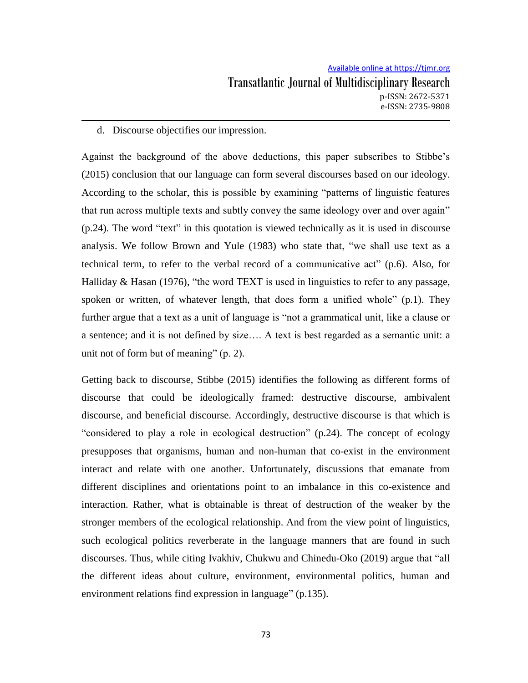### d. Discourse objectifies our impression.

Against the background of the above deductions, this paper subscribes to Stibbe"s (2015) conclusion that our language can form several discourses based on our ideology. According to the scholar, this is possible by examining "patterns of linguistic features that run across multiple texts and subtly convey the same ideology over and over again" (p.24). The word "text" in this quotation is viewed technically as it is used in discourse analysis. We follow Brown and Yule (1983) who state that, "we shall use text as a technical term, to refer to the verbal record of a communicative act" (p.6). Also, for Halliday & Hasan (1976), "the word TEXT is used in linguistics to refer to any passage, spoken or written, of whatever length, that does form a unified whole" (p.1). They further argue that a text as a unit of language is "not a grammatical unit, like a clause or a sentence; and it is not defined by size…. A text is best regarded as a semantic unit: a unit not of form but of meaning" (p. 2).

Getting back to discourse, Stibbe (2015) identifies the following as different forms of discourse that could be ideologically framed: destructive discourse, ambivalent discourse, and beneficial discourse. Accordingly, destructive discourse is that which is "considered to play a role in ecological destruction" (p.24). The concept of ecology presupposes that organisms, human and non-human that co-exist in the environment interact and relate with one another. Unfortunately, discussions that emanate from different disciplines and orientations point to an imbalance in this co-existence and interaction. Rather, what is obtainable is threat of destruction of the weaker by the stronger members of the ecological relationship. And from the view point of linguistics, such ecological politics reverberate in the language manners that are found in such discourses. Thus, while citing Ivakhiv, Chukwu and Chinedu-Oko (2019) argue that "all the different ideas about culture, environment, environmental politics, human and environment relations find expression in language" (p.135).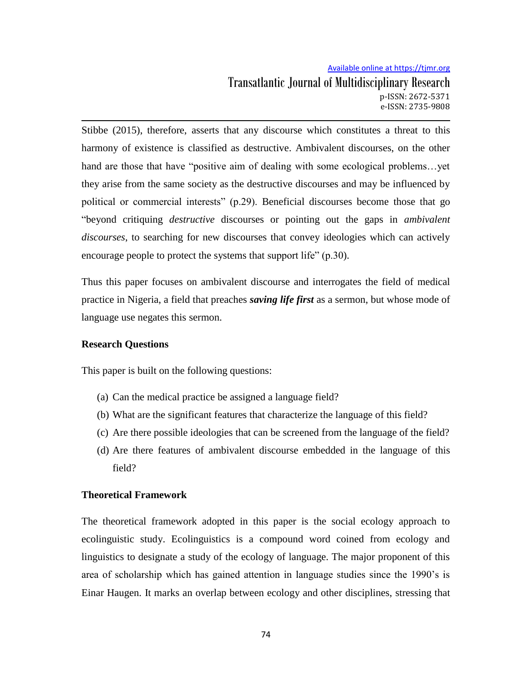Stibbe (2015), therefore, asserts that any discourse which constitutes a threat to this harmony of existence is classified as destructive. Ambivalent discourses, on the other hand are those that have "positive aim of dealing with some ecological problems…yet they arise from the same society as the destructive discourses and may be influenced by political or commercial interests" (p.29). Beneficial discourses become those that go "beyond critiquing *destructive* discourses or pointing out the gaps in *ambivalent discourses*, to searching for new discourses that convey ideologies which can actively encourage people to protect the systems that support life" (p.30).

Thus this paper focuses on ambivalent discourse and interrogates the field of medical practice in Nigeria, a field that preaches *saving life first* as a sermon, but whose mode of language use negates this sermon.

### **Research Questions**

This paper is built on the following questions:

- (a) Can the medical practice be assigned a language field?
- (b) What are the significant features that characterize the language of this field?
- (c) Are there possible ideologies that can be screened from the language of the field?
- (d) Are there features of ambivalent discourse embedded in the language of this field?

### **Theoretical Framework**

The theoretical framework adopted in this paper is the social ecology approach to ecolinguistic study. Ecolinguistics is a compound word coined from ecology and linguistics to designate a study of the ecology of language. The major proponent of this area of scholarship which has gained attention in language studies since the 1990"s is Einar Haugen. It marks an overlap between ecology and other disciplines, stressing that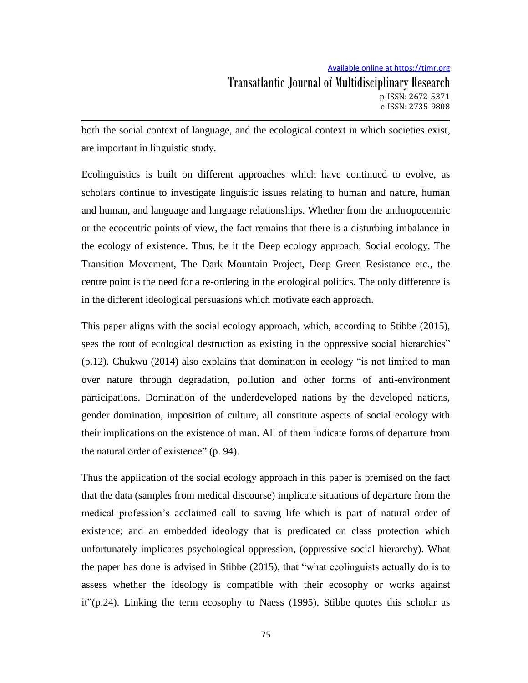both the social context of language, and the ecological context in which societies exist, are important in linguistic study.

Ecolinguistics is built on different approaches which have continued to evolve, as scholars continue to investigate linguistic issues relating to human and nature, human and human, and language and language relationships. Whether from the anthropocentric or the ecocentric points of view, the fact remains that there is a disturbing imbalance in the ecology of existence. Thus, be it the Deep ecology approach, Social ecology, The Transition Movement, The Dark Mountain Project, Deep Green Resistance etc., the centre point is the need for a re-ordering in the ecological politics. The only difference is in the different ideological persuasions which motivate each approach.

This paper aligns with the social ecology approach, which, according to Stibbe (2015), sees the root of ecological destruction as existing in the oppressive social hierarchies"  $(p.12)$ . Chukwu  $(2014)$  also explains that domination in ecology "is not limited to man over nature through degradation, pollution and other forms of anti-environment participations. Domination of the underdeveloped nations by the developed nations, gender domination, imposition of culture, all constitute aspects of social ecology with their implications on the existence of man. All of them indicate forms of departure from the natural order of existence" (p. 94).

Thus the application of the social ecology approach in this paper is premised on the fact that the data (samples from medical discourse) implicate situations of departure from the medical profession's acclaimed call to saving life which is part of natural order of existence; and an embedded ideology that is predicated on class protection which unfortunately implicates psychological oppression, (oppressive social hierarchy). What the paper has done is advised in Stibbe (2015), that "what ecolinguists actually do is to assess whether the ideology is compatible with their ecosophy or works against  $it''(p.24)$ . Linking the term ecosophy to Naess (1995), Stibbe quotes this scholar as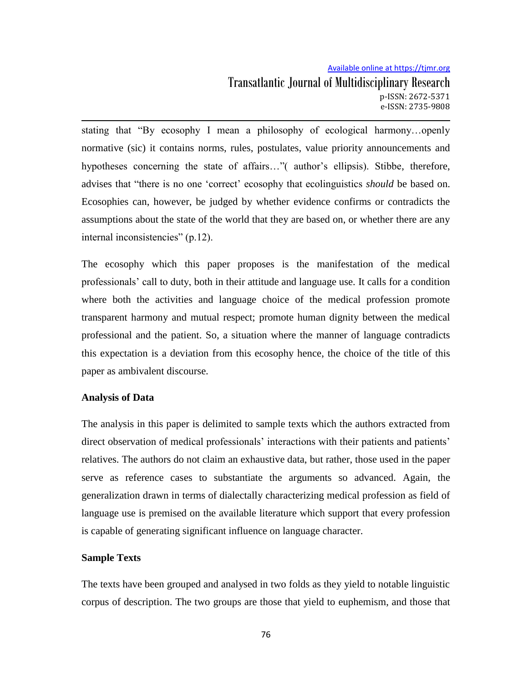stating that "By ecosophy I mean a philosophy of ecological harmony…openly normative (sic) it contains norms, rules, postulates, value priority announcements and hypotheses concerning the state of affairs..."( author's ellipsis). Stibbe, therefore, advises that "there is no one "correct" ecosophy that ecolinguistics *should* be based on. Ecosophies can, however, be judged by whether evidence confirms or contradicts the assumptions about the state of the world that they are based on, or whether there are any internal inconsistencies" (p.12).

The ecosophy which this paper proposes is the manifestation of the medical professionals" call to duty, both in their attitude and language use. It calls for a condition where both the activities and language choice of the medical profession promote transparent harmony and mutual respect; promote human dignity between the medical professional and the patient. So, a situation where the manner of language contradicts this expectation is a deviation from this ecosophy hence, the choice of the title of this paper as ambivalent discourse.

### **Analysis of Data**

The analysis in this paper is delimited to sample texts which the authors extracted from direct observation of medical professionals' interactions with their patients and patients' relatives. The authors do not claim an exhaustive data, but rather, those used in the paper serve as reference cases to substantiate the arguments so advanced. Again, the generalization drawn in terms of dialectally characterizing medical profession as field of language use is premised on the available literature which support that every profession is capable of generating significant influence on language character.

### **Sample Texts**

The texts have been grouped and analysed in two folds as they yield to notable linguistic corpus of description. The two groups are those that yield to euphemism, and those that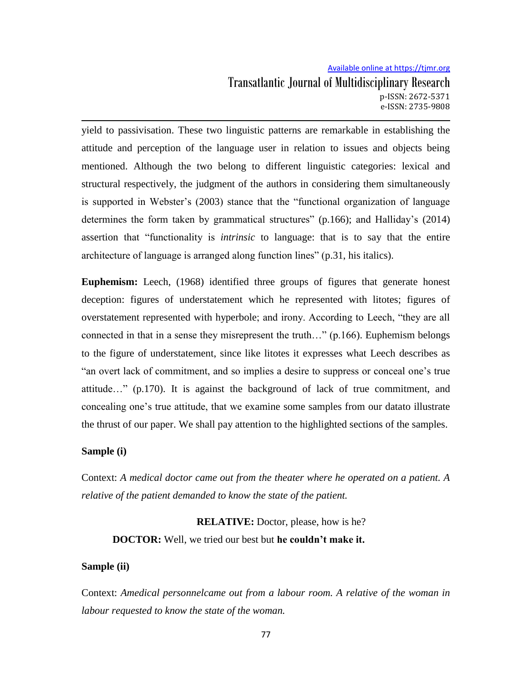yield to passivisation. These two linguistic patterns are remarkable in establishing the attitude and perception of the language user in relation to issues and objects being mentioned. Although the two belong to different linguistic categories: lexical and structural respectively, the judgment of the authors in considering them simultaneously is supported in Webster's (2003) stance that the "functional organization of language determines the form taken by grammatical structures" (p.166); and Halliday"s (2014) assertion that "functionality is *intrinsic* to language: that is to say that the entire architecture of language is arranged along function lines" (p.31, his italics).

**Euphemism:** Leech, (1968) identified three groups of figures that generate honest deception: figures of understatement which he represented with litotes; figures of overstatement represented with hyperbole; and irony. According to Leech, "they are all connected in that in a sense they misrepresent the truth…" (p.166). Euphemism belongs to the figure of understatement, since like litotes it expresses what Leech describes as "an overt lack of commitment, and so implies a desire to suppress or conceal one"s true attitude…" (p.170). It is against the background of lack of true commitment, and concealing one"s true attitude, that we examine some samples from our datato illustrate the thrust of our paper. We shall pay attention to the highlighted sections of the samples.

### **Sample (i)**

Context: *A medical doctor came out from the theater where he operated on a patient. A relative of the patient demanded to know the state of the patient.*

**RELATIVE:** Doctor, please, how is he? **DOCTOR:** Well, we tried our best but **he couldn't make it.**

#### **Sample (ii)**

Context: *Amedical personnelcame out from a labour room. A relative of the woman in labour requested to know the state of the woman.*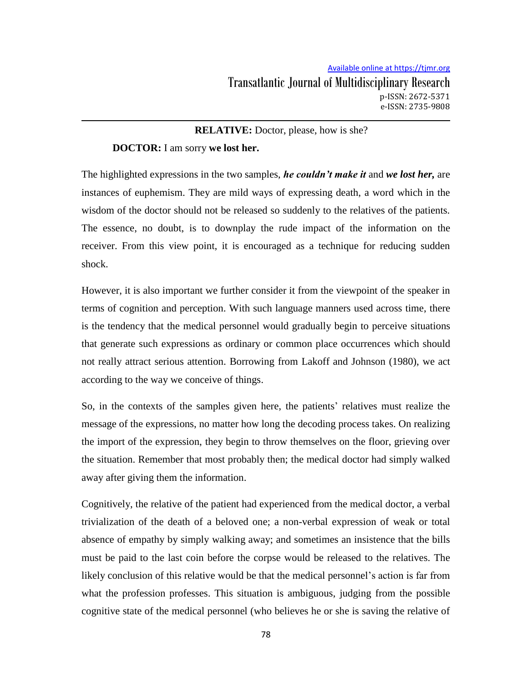### **RELATIVE:** Doctor, please, how is she?

### **DOCTOR:** I am sorry **we lost her.**

The highlighted expressions in the two samples, *he couldn't make it* and *we lost her,* are instances of euphemism. They are mild ways of expressing death, a word which in the wisdom of the doctor should not be released so suddenly to the relatives of the patients. The essence, no doubt, is to downplay the rude impact of the information on the receiver. From this view point, it is encouraged as a technique for reducing sudden shock.

However, it is also important we further consider it from the viewpoint of the speaker in terms of cognition and perception. With such language manners used across time, there is the tendency that the medical personnel would gradually begin to perceive situations that generate such expressions as ordinary or common place occurrences which should not really attract serious attention. Borrowing from Lakoff and Johnson (1980), we act according to the way we conceive of things.

So, in the contexts of the samples given here, the patients' relatives must realize the message of the expressions, no matter how long the decoding process takes. On realizing the import of the expression, they begin to throw themselves on the floor, grieving over the situation. Remember that most probably then; the medical doctor had simply walked away after giving them the information.

Cognitively, the relative of the patient had experienced from the medical doctor, a verbal trivialization of the death of a beloved one; a non-verbal expression of weak or total absence of empathy by simply walking away; and sometimes an insistence that the bills must be paid to the last coin before the corpse would be released to the relatives. The likely conclusion of this relative would be that the medical personnel's action is far from what the profession professes. This situation is ambiguous, judging from the possible cognitive state of the medical personnel (who believes he or she is saving the relative of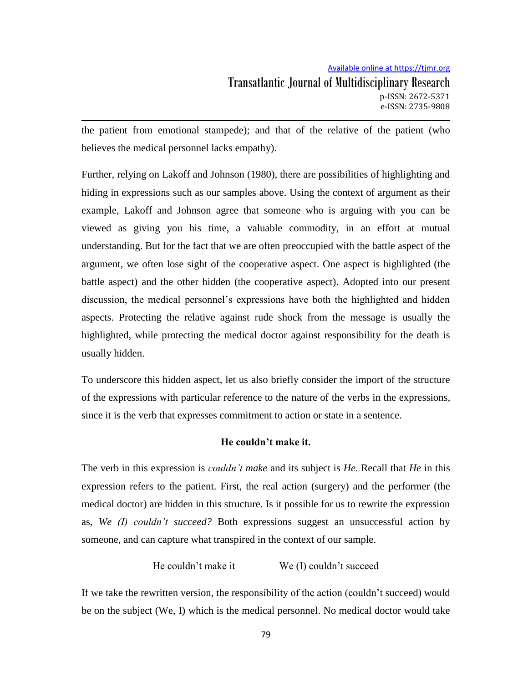the patient from emotional stampede); and that of the relative of the patient (who believes the medical personnel lacks empathy).

Further, relying on Lakoff and Johnson (1980), there are possibilities of highlighting and hiding in expressions such as our samples above. Using the context of argument as their example, Lakoff and Johnson agree that someone who is arguing with you can be viewed as giving you his time, a valuable commodity, in an effort at mutual understanding. But for the fact that we are often preoccupied with the battle aspect of the argument, we often lose sight of the cooperative aspect. One aspect is highlighted (the battle aspect) and the other hidden (the cooperative aspect). Adopted into our present discussion, the medical personnel"s expressions have both the highlighted and hidden aspects. Protecting the relative against rude shock from the message is usually the highlighted, while protecting the medical doctor against responsibility for the death is usually hidden.

To underscore this hidden aspect, let us also briefly consider the import of the structure of the expressions with particular reference to the nature of the verbs in the expressions, since it is the verb that expresses commitment to action or state in a sentence.

### **He couldn't make it.**

The verb in this expression is *couldn't make* and its subject is *He*. Recall that *He* in this expression refers to the patient. First, the real action (surgery) and the performer (the medical doctor) are hidden in this structure. Is it possible for us to rewrite the expression as, *We (I) couldn't succeed?* Both expressions suggest an unsuccessful action by someone, and can capture what transpired in the context of our sample.

# He couldn't make it We (I) couldn't succeed

If we take the rewritten version, the responsibility of the action (couldn't succeed) would be on the subject (We, I) which is the medical personnel. No medical doctor would take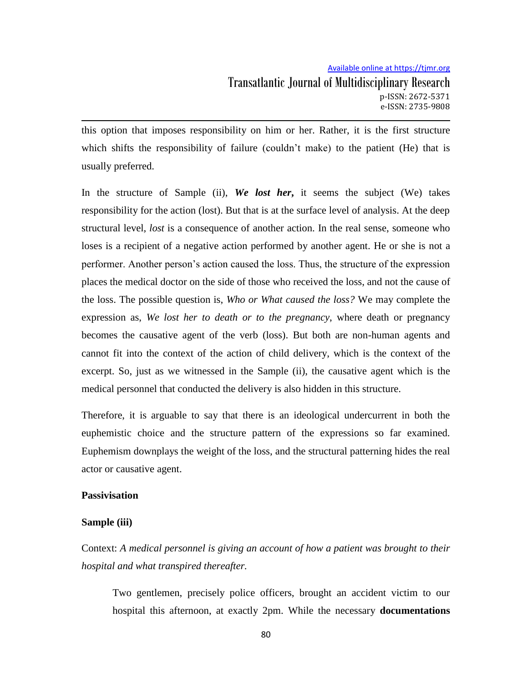this option that imposes responsibility on him or her. Rather, it is the first structure which shifts the responsibility of failure (couldn't make) to the patient (He) that is usually preferred.

In the structure of Sample (ii), *We lost her***,** it seems the subject (We) takes responsibility for the action (lost). But that is at the surface level of analysis. At the deep structural level, *lost* is a consequence of another action. In the real sense, someone who loses is a recipient of a negative action performed by another agent. He or she is not a performer. Another person"s action caused the loss. Thus, the structure of the expression places the medical doctor on the side of those who received the loss, and not the cause of the loss. The possible question is, *Who or What caused the loss?* We may complete the expression as, *We lost her to death or to the pregnancy*, where death or pregnancy becomes the causative agent of the verb (loss). But both are non-human agents and cannot fit into the context of the action of child delivery, which is the context of the excerpt. So, just as we witnessed in the Sample (ii), the causative agent which is the medical personnel that conducted the delivery is also hidden in this structure.

Therefore, it is arguable to say that there is an ideological undercurrent in both the euphemistic choice and the structure pattern of the expressions so far examined. Euphemism downplays the weight of the loss, and the structural patterning hides the real actor or causative agent.

### **Passivisation**

### **Sample (iii)**

Context: *A medical personnel is giving an account of how a patient was brought to their hospital and what transpired thereafter.*

Two gentlemen, precisely police officers, brought an accident victim to our hospital this afternoon, at exactly 2pm. While the necessary **documentations**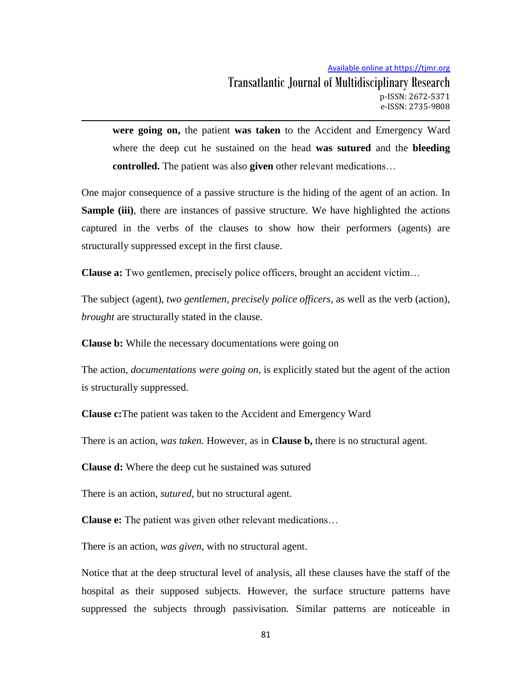**were going on,** the patient **was taken** to the Accident and Emergency Ward where the deep cut he sustained on the head **was sutured** and the **bleeding controlled.** The patient was also **given** other relevant medications…

One major consequence of a passive structure is the hiding of the agent of an action. In **Sample (iii)**, there are instances of passive structure. We have highlighted the actions captured in the verbs of the clauses to show how their performers (agents) are structurally suppressed except in the first clause.

**Clause a:** Two gentlemen, precisely police officers, brought an accident victim...

The subject (agent), *two gentlemen, precisely police officers,* as well as the verb (action), *brought* are structurally stated in the clause.

**Clause b:** While the necessary documentations were going on

The action, *documentations were going on,* is explicitly stated but the agent of the action is structurally suppressed.

**Clause c:**The patient was taken to the Accident and Emergency Ward

There is an action, *was taken*. However, as in **Clause b**, there is no structural agent.

**Clause d:** Where the deep cut he sustained was sutured

There is an action, *sutured*, but no structural agent.

**Clause e:** The patient was given other relevant medications…

There is an action, *was given,* with no structural agent.

Notice that at the deep structural level of analysis, all these clauses have the staff of the hospital as their supposed subjects. However, the surface structure patterns have suppressed the subjects through passivisation. Similar patterns are noticeable in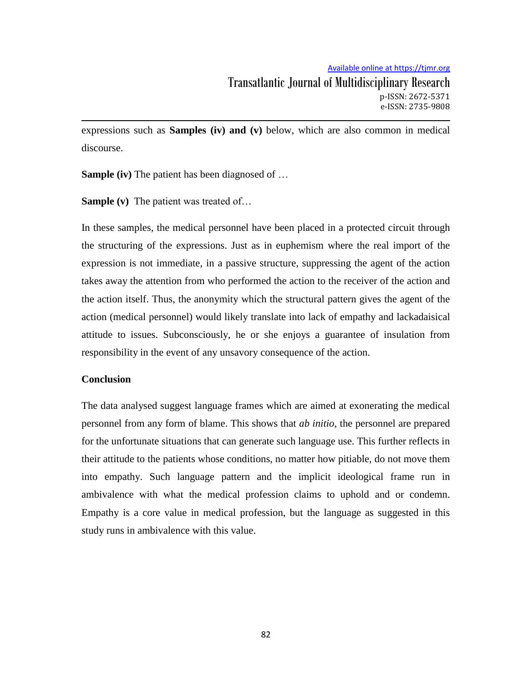expressions such as **Samples (iv) and (v)** below, which are also common in medical discourse.

**Sample (iv)** The patient has been diagnosed of …

**Sample (v)** The patient was treated of…

In these samples, the medical personnel have been placed in a protected circuit through the structuring of the expressions. Just as in euphemism where the real import of the expression is not immediate, in a passive structure, suppressing the agent of the action takes away the attention from who performed the action to the receiver of the action and the action itself. Thus, the anonymity which the structural pattern gives the agent of the action (medical personnel) would likely translate into lack of empathy and lackadaisical attitude to issues. Subconsciously, he or she enjoys a guarantee of insulation from responsibility in the event of any unsavory consequence of the action.

### **Conclusion**

The data analysed suggest language frames which are aimed at exonerating the medical personnel from any form of blame. This shows that *ab initio*, the personnel are prepared for the unfortunate situations that can generate such language use. This further reflects in their attitude to the patients whose conditions, no matter how pitiable, do not move them into empathy. Such language pattern and the implicit ideological frame run in ambivalence with what the medical profession claims to uphold and or condemn. Empathy is a core value in medical profession, but the language as suggested in this study runs in ambivalence with this value.